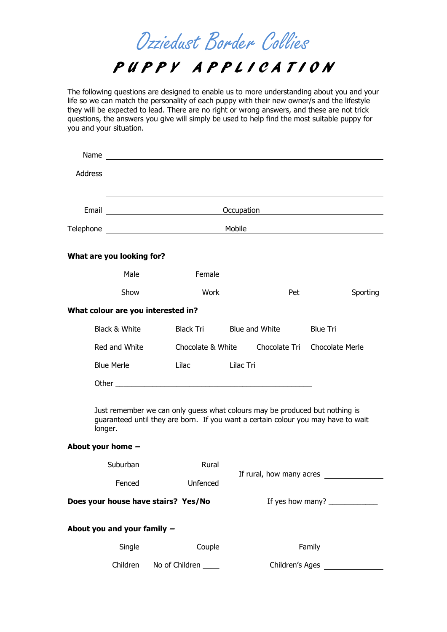Ozziedust Border Collies

## P U P P Y A P P L I CATION

The following questions are designed to enable us to more understanding about you and your life so we can match the personality of each puppy with their new owner/s and the lifestyle they will be expected to lead. There are no right or wrong answers, and these are not trick questions, the answers you give will simply be used to help find the most suitable puppy for you and your situation.

| Name              |                             |                                                                                                                                                                                                                                 |                |                          |                 |  |  |  |
|-------------------|-----------------------------|---------------------------------------------------------------------------------------------------------------------------------------------------------------------------------------------------------------------------------|----------------|--------------------------|-----------------|--|--|--|
| <b>Address</b>    |                             |                                                                                                                                                                                                                                 |                |                          |                 |  |  |  |
|                   |                             | Occupation                                                                                                                                                                                                                      |                |                          |                 |  |  |  |
|                   |                             | Mobile <u>_________________________</u>                                                                                                                                                                                         |                |                          |                 |  |  |  |
|                   | What are you looking for?   |                                                                                                                                                                                                                                 |                |                          |                 |  |  |  |
|                   | Male                        | Female                                                                                                                                                                                                                          |                |                          |                 |  |  |  |
| Show              |                             | Work                                                                                                                                                                                                                            |                | Pet                      | Sporting        |  |  |  |
|                   |                             | What colour are you interested in?                                                                                                                                                                                              |                |                          |                 |  |  |  |
|                   | Black & White               | Black Tri                                                                                                                                                                                                                       | Blue and White |                          | <b>Blue Tri</b> |  |  |  |
|                   | Red and White               | Chocolate & White Chocolate Tri                                                                                                                                                                                                 |                |                          | Chocolate Merle |  |  |  |
| <b>Blue Merle</b> |                             | Lilac and the state of the state of the state of the state of the state of the state of the state of the state of the state of the state of the state of the state of the state of the state of the state of the state of the s | Lilac Tri      |                          |                 |  |  |  |
|                   |                             |                                                                                                                                                                                                                                 |                |                          |                 |  |  |  |
|                   | longer.                     | Just remember we can only guess what colours may be produced but nothing is<br>guaranteed until they are born. If you want a certain colour you may have to wait                                                                |                |                          |                 |  |  |  |
|                   | About your home $-$         |                                                                                                                                                                                                                                 |                |                          |                 |  |  |  |
|                   | Suburban                    | Rural                                                                                                                                                                                                                           |                |                          |                 |  |  |  |
| Fenced            |                             | Unfenced                                                                                                                                                                                                                        |                | If rural, how many acres |                 |  |  |  |
|                   |                             | Does your house have stairs? Yes/No                                                                                                                                                                                             |                |                          |                 |  |  |  |
|                   | About you and your family - |                                                                                                                                                                                                                                 |                |                          |                 |  |  |  |
|                   | Single                      | Couple                                                                                                                                                                                                                          |                |                          | Family          |  |  |  |
| Children          |                             | No of Children                                                                                                                                                                                                                  |                | Children's Ages          |                 |  |  |  |